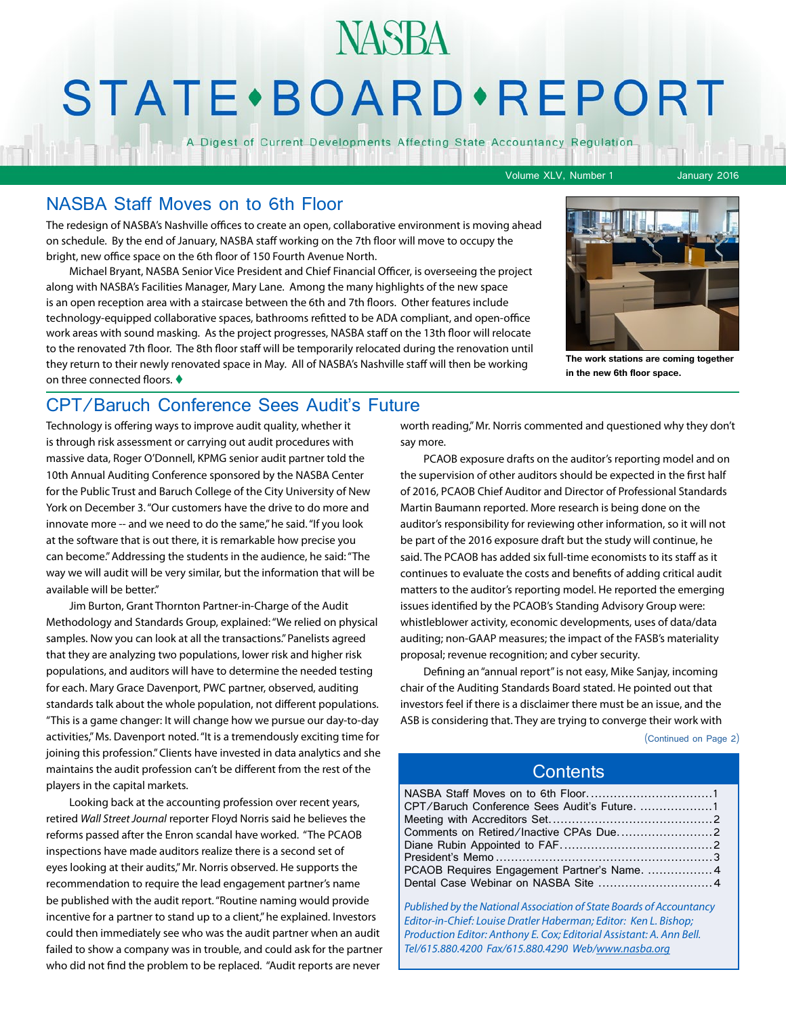# **STATE** · BOARD · REPORT

**NASBA** 

A Digest of Current Developments Affecting State Accountancy Regulation

Volume XLV, Number 1 January 2016

## NASBA Staff Moves on to 6th Floor

The redesign of NASBA's Nashville offices to create an open, collaborative environment is moving ahead on schedule. By the end of January, NASBA staff working on the 7th floor will move to occupy the bright, new office space on the 6th floor of 150 Fourth Avenue North.

Michael Bryant, NASBA Senior Vice President and Chief Financial Officer, is overseeing the project along with NASBA's Facilities Manager, Mary Lane. Among the many highlights of the new space is an open reception area with a staircase between the 6th and 7th floors. Other features include technology-equipped collaborative spaces, bathrooms refitted to be ADA compliant, and open-office work areas with sound masking. As the project progresses, NASBA staff on the 13th floor will relocate to the renovated 7th floor. The 8th floor staff will be temporarily relocated during the renovation until they return to their newly renovated space in May. All of NASBA's Nashville staff will then be working on three connected floors.  $\blacklozenge$ 



**The work stations are coming together in the new 6th floor space.** 

# CPT/Baruch Conference Sees Audit's Future

Technology is offering ways to improve audit quality, whether it is through risk assessment or carrying out audit procedures with massive data, Roger O'Donnell, KPMG senior audit partner told the 10th Annual Auditing Conference sponsored by the NASBA Center for the Public Trust and Baruch College of the City University of New York on December 3. "Our customers have the drive to do more and innovate more -- and we need to do the same," he said. "If you look at the software that is out there, it is remarkable how precise you can become." Addressing the students in the audience, he said: "The way we will audit will be very similar, but the information that will be available will be better."

Jim Burton, Grant Thornton Partner-in-Charge of the Audit Methodology and Standards Group, explained: "We relied on physical samples. Now you can look at all the transactions." Panelists agreed that they are analyzing two populations, lower risk and higher risk populations, and auditors will have to determine the needed testing for each. Mary Grace Davenport, PWC partner, observed, auditing standards talk about the whole population, not different populations. "This is a game changer: It will change how we pursue our day-to-day activities," Ms. Davenport noted. "It is a tremendously exciting time for joining this profession." Clients have invested in data analytics and she maintains the audit profession can't be different from the rest of the players in the capital markets.

Looking back at the accounting profession over recent years, retired *Wall Street Journal* reporter Floyd Norris said he believes the reforms passed after the Enron scandal have worked. "The PCAOB inspections have made auditors realize there is a second set of eyes looking at their audits," Mr. Norris observed. He supports the recommendation to require the lead engagement partner's name be published with the audit report. "Routine naming would provide incentive for a partner to stand up to a client," he explained. Investors could then immediately see who was the audit partner when an audit failed to show a company was in trouble, and could ask for the partner who did not find the problem to be replaced. "Audit reports are never

worth reading," Mr. Norris commented and questioned why they don't say more.

PCAOB exposure drafts on the auditor's reporting model and on the supervision of other auditors should be expected in the first half of 2016, PCAOB Chief Auditor and Director of Professional Standards Martin Baumann reported. More research is being done on the auditor's responsibility for reviewing other information, so it will not be part of the 2016 exposure draft but the study will continue, he said. The PCAOB has added six full-time economists to its staff as it continues to evaluate the costs and benefits of adding critical audit matters to the auditor's reporting model. He reported the emerging issues identified by the PCAOB's Standing Advisory Group were: whistleblower activity, economic developments, uses of data/data auditing; non-GAAP measures; the impact of the FASB's materiality proposal; revenue recognition; and cyber security.

Defining an "annual report" is not easy, Mike Sanjay, incoming chair of the Auditing Standards Board stated. He pointed out that investors feel if there is a disclaimer there must be an issue, and the ASB is considering that. They are trying to converge their work with

(Continued on Page 2)

### **Contents**

| CPT/Baruch Conference Sees Audit's Future. 1 |  |
|----------------------------------------------|--|
|                                              |  |
|                                              |  |
|                                              |  |
|                                              |  |
|                                              |  |
|                                              |  |
|                                              |  |

*Published by the National Association of State Boards of Accountancy Editor-in-Chief: Louise Dratler Haberman; Editor: Ken L. Bishop; Production Editor: Anthony E. Cox; Editorial Assistant: A. Ann Bell. Tel/615.880.4200 Fax/615.880.4290 Web/[www.nasba.org](http://www.nasba.org)*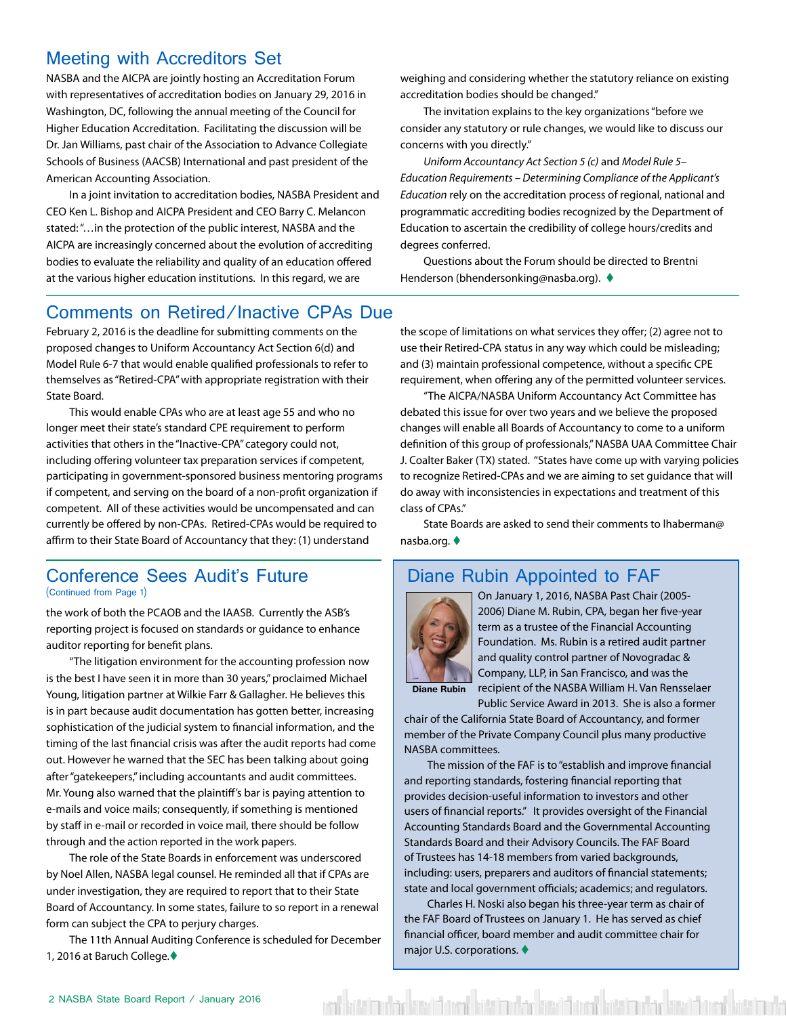## <span id="page-1-0"></span>Meeting with Accreditors Set

NASBA and the AICPA are jointly hosting an Accreditation Forum with representatives of accreditation bodies on January 29, 2016 in Washington, DC, following the annual meeting of the Council for Higher Education Accreditation. Facilitating the discussion will be Dr. Jan Williams, past chair of the Association to Advance Collegiate Schools of Business (AACSB) International and past president of the American Accounting Association.

In a joint invitation to accreditation bodies, NASBA President and CEO Ken L. Bishop and AICPA President and CEO Barry C. Melancon stated: "…in the protection of the public interest, NASBA and the AICPA are increasingly concerned about the evolution of accrediting bodies to evaluate the reliability and quality of an education offered at the various higher education institutions. In this regard, we are

weighing and considering whether the statutory reliance on existing accreditation bodies should be changed."

The invitation explains to the key organizations "before we consider any statutory or rule changes, we would like to discuss our concerns with you directly."

*Uniform Accountancy Act Section 5 (c)* and *Model Rule 5– Education Requirements – Determining Compliance of the Applicant's Education* rely on the accreditation process of regional, national and programmatic accrediting bodies recognized by the Department of Education to ascertain the credibility of college hours/credits and degrees conferred.

Questions about the Forum should be directed to Brentni Henderson (bhendersonking@nasba.org). ♦

# Comments on Retired/Inactive CPAs Due

February 2, 2016 is the deadline for submitting comments on the proposed changes to Uniform Accountancy Act Section 6(d) and Model Rule 6-7 that would enable qualified professionals to refer to themselves as "Retired-CPA" with appropriate registration with their State Board.

This would enable CPAs who are at least age 55 and who no longer meet their state's standard CPE requirement to perform activities that others in the "Inactive-CPA" category could not, including offering volunteer tax preparation services if competent, participating in government-sponsored business mentoring programs if competent, and serving on the board of a non-profit organization if competent. All of these activities would be uncompensated and can currently be offered by non-CPAs. Retired-CPAs would be required to affirm to their State Board of Accountancy that they: (1) understand

#### Conference Sees Audit's Future (Continued from Page 1)

the work of both the PCAOB and the IAASB. Currently the ASB's reporting project is focused on standards or guidance to enhance auditor reporting for benefit plans.

"The litigation environment for the accounting profession now is the best I have seen it in more than 30 years," proclaimed Michael Young, litigation partner at Wilkie Farr & Gallagher. He believes this is in part because audit documentation has gotten better, increasing sophistication of the judicial system to financial information, and the timing of the last financial crisis was after the audit reports had come out. However he warned that the SEC has been talking about going after "gatekeepers," including accountants and audit committees. Mr. Young also warned that the plaintiff's bar is paying attention to e-mails and voice mails; consequently, if something is mentioned by staff in e-mail or recorded in voice mail, there should be follow through and the action reported in the work papers.

The role of the State Boards in enforcement was underscored by Noel Allen, NASBA legal counsel. He reminded all that if CPAs are under investigation, they are required to report that to their State Board of Accountancy. In some states, failure to so report in a renewal form can subject the CPA to perjury charges.

The 11th Annual Auditing Conference is scheduled for December 1, 2016 at Baruch College.

the scope of limitations on what services they offer; (2) agree not to use their Retired-CPA status in any way which could be misleading; and (3) maintain professional competence, without a specific CPE requirement, when offering any of the permitted volunteer services.

"The AICPA/NASBA Uniform Accountancy Act Committee has debated this issue for over two years and we believe the proposed changes will enable all Boards of Accountancy to come to a uniform definition of this group of professionals," NASBA UAA Committee Chair J. Coalter Baker (TX) stated. "States have come up with varying policies to recognize Retired-CPAs and we are aiming to set guidance that will do away with inconsistencies in expectations and treatment of this class of CPAs."

State Boards are asked to send their comments to lhaberman@ nasba.org.  $\blacklozenge$ 

# Diane Rubin Appointed to FAF



On January 1, 2016, NASBA Past Chair (2005- 2006) Diane M. Rubin, CPA, began her five-year term as a trustee of the Financial Accounting Foundation. Ms. Rubin is a retired audit partner and quality control partner of Novogradac & Company, LLP, in San Francisco, and was the recipient of the NASBA William H. Van Rensselaer

**Diane Rubin**

Public Service Award in 2013. She is also a former chair of the California State Board of Accountancy, and former member of the Private Company Council plus many productive NASBA committees.

The mission of the FAF is to "establish and improve financial and reporting standards, fostering financial reporting that provides decision-useful information to investors and other users of financial reports." It provides oversight of the Financial Accounting Standards Board and the Governmental Accounting Standards Board and their Advisory Councils. The FAF Board of Trustees has 14-18 members from varied backgrounds, including: users, preparers and auditors of financial statements; state and local government officials; academics; and regulators.

Charles H. Noski also began his three-year term as chair of the FAF Board of Trustees on January 1. He has served as chief financial officer, board member and audit committee chair for major U.S. corporations.  $\blacklozenge$ 

vad böttira við reistöð varð böttiraðar kinsið övað böttiraðar kinsið annað böttiraða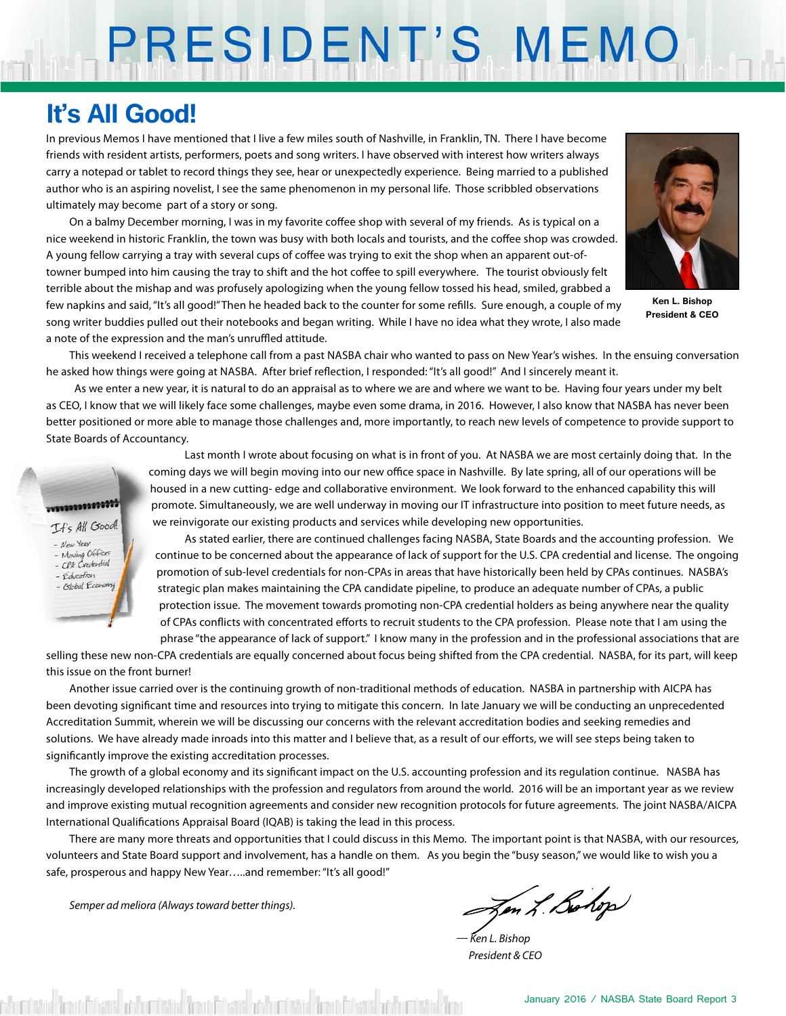# PRESIDENT'S MEMO

# **It's All Good!**

In previous Memos I have mentioned that I live a few miles south of Nashville, in Franklin, TN. There I have become friends with resident artists, performers, poets and song writers. I have observed with interest how writers always carry a notepad or tablet to record things they see, hear or unexpectedly experience. Being married to a published author who is an aspiring novelist, I see the same phenomenon in my personal life. Those scribbled observations ultimately may become part of a story or song.

On a balmy December morning, I was in my favorite coffee shop with several of my friends. As is typical on a nice weekend in historic Franklin, the town was busy with both locals and tourists, and the coffee shop was crowded. A young fellow carrying a tray with several cups of coffee was trying to exit the shop when an apparent out-oftowner bumped into him causing the tray to shift and the hot coffee to spill everywhere. The tourist obviously felt terrible about the mishap and was profusely apologizing when the young fellow tossed his head, smiled, grabbed a few napkins and said, "It's all good!" Then he headed back to the counter for some refills. Sure enough, a couple of my song writer buddies pulled out their notebooks and began writing. While I have no idea what they wrote, I also made a note of the expression and the man's unruffled attitude.



**Ken L. Bishop President & CEO**

This weekend I received a telephone call from a past NASBA chair who wanted to pass on New Year's wishes. In the ensuing conversation he asked how things were going at NASBA. After brief reflection, I responded: "It's all good!" And I sincerely meant it.

 As we enter a new year, it is natural to do an appraisal as to where we are and where we want to be. Having four years under my belt as CEO, I know that we will likely face some challenges, maybe even some drama, in 2016. However, I also know that NASBA has never been better positioned or more able to manage those challenges and, more importantly, to reach new levels of competence to provide support to State Boards of Accountancy.



Last month I wrote about focusing on what is in front of you. At NASBA we are most certainly doing that. In the coming days we will begin moving into our new office space in Nashville. By late spring, all of our operations will be housed in a new cutting- edge and collaborative environment. We look forward to the enhanced capability this will promote. Simultaneously, we are well underway in moving our IT infrastructure into position to meet future needs, as we reinvigorate our existing products and services while developing new opportunities.

As stated earlier, there are continued challenges facing NASBA, State Boards and the accounting profession. We continue to be concerned about the appearance of lack of support for the U.S. CPA credential and license. The ongoing promotion of sub-level credentials for non-CPAs in areas that have historically been held by CPAs continues. NASBA's strategic plan makes maintaining the CPA candidate pipeline, to produce an adequate number of CPAs, a public protection issue. The movement towards promoting non-CPA credential holders as being anywhere near the quality of CPAs conflicts with concentrated efforts to recruit students to the CPA profession. Please note that I am using the phrase "the appearance of lack of support." I know many in the profession and in the professional associations that are

selling these new non-CPA credentials are equally concerned about focus being shifted from the CPA credential. NASBA, for its part, will keep this issue on the front burner!

Another issue carried over is the continuing growth of non-traditional methods of education. NASBA in partnership with AICPA has been devoting significant time and resources into trying to mitigate this concern. In late January we will be conducting an unprecedented Accreditation Summit, wherein we will be discussing our concerns with the relevant accreditation bodies and seeking remedies and solutions. We have already made inroads into this matter and I believe that, as a result of our efforts, we will see steps being taken to significantly improve the existing accreditation processes.

The growth of a global economy and its significant impact on the U.S. accounting profession and its regulation continue. NASBA has increasingly developed relationships with the profession and regulators from around the world. 2016 will be an important year as we review and improve existing mutual recognition agreements and consider new recognition protocols for future agreements. The joint NASBA/AICPA International Qualifications Appraisal Board (IQAB) is taking the lead in this process.

There are many more threats and opportunities that I could discuss in this Memo. The important point is that NASBA, with our resources, volunteers and State Board support and involvement, has a handle on them. As you begin the "busy season," we would like to wish you a safe, prosperous and happy New Year....and remember: "It's all good!"

*Semper ad meliora (Always toward better things).*

Jen L. Bohop

*— Ken L. Bishop President & CEO*

Australia Travisticaia antus estis Travisticaia antus estis Travisticaia antus estus travis